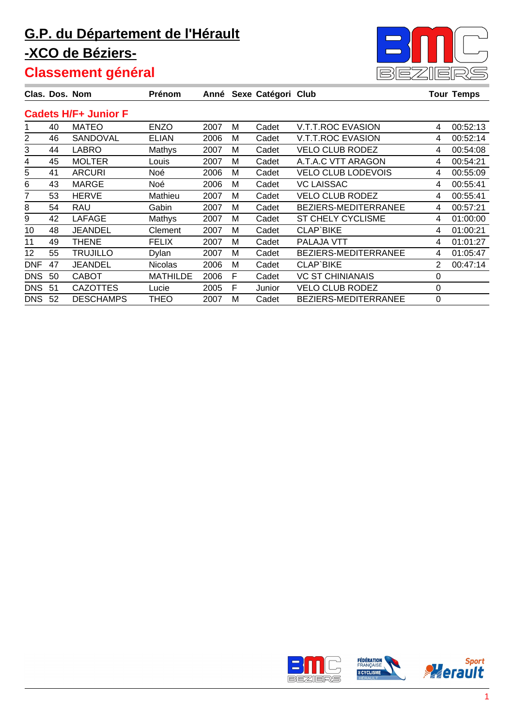

|            |    | Clas. Dos. Nom              | Prénom          |      |   | Anné Sexe Catégori Club |                             |   | <b>Tour Temps</b> |
|------------|----|-----------------------------|-----------------|------|---|-------------------------|-----------------------------|---|-------------------|
|            |    | <b>Cadets H/F+ Junior F</b> |                 |      |   |                         |                             |   |                   |
|            | 40 | <b>MATEO</b>                | <b>ENZO</b>     | 2007 | м | Cadet                   | <b>V.T.T.ROC EVASION</b>    | 4 | 00:52:13          |
| 2          | 46 | SANDOVAL                    | <b>ELIAN</b>    | 2006 | м | Cadet                   | <b>V.T.T.ROC EVASION</b>    | 4 | 00:52:14          |
| 3          | 44 | LABRO                       | Mathys          | 2007 | M | Cadet                   | <b>VELO CLUB RODEZ</b>      | 4 | 00:54:08          |
| 4          | 45 | <b>MOLTER</b>               | Louis           | 2007 | м | Cadet                   | A.T.A.C VTT ARAGON          | 4 | 00:54:21          |
| 5          | 41 | <b>ARCURI</b>               | Noé             | 2006 | м | Cadet                   | <b>VELO CLUB LODEVOIS</b>   | 4 | 00:55:09          |
| 6          | 43 | <b>MARGE</b>                | Noé             | 2006 | M | Cadet                   | <b>VC LAISSAC</b>           | 4 | 00:55:41          |
| 7          | 53 | <b>HERVE</b>                | Mathieu         | 2007 | M | Cadet                   | <b>VELO CLUB RODEZ</b>      | 4 | 00:55:41          |
| 8          | 54 | <b>RAU</b>                  | Gabin           | 2007 | M | Cadet                   | BEZIERS-MEDITERRANEE        | 4 | 00:57:21          |
| 9          | 42 | <b>LAFAGE</b>               | Mathys          | 2007 | м | Cadet                   | ST CHELY CYCLISME           | 4 | 01:00:00          |
| 10         | 48 | JEANDEL                     | Clement         | 2007 | м | Cadet                   | <b>CLAP'BIKE</b>            | 4 | 01:00:21          |
| 11         | 49 | THENE                       | <b>FELIX</b>    | 2007 | м | Cadet                   | PALAJA VTT                  | 4 | 01:01:27          |
| 12         | 55 | TRUJILLO                    | Dylan           | 2007 | м | Cadet                   | <b>BEZIERS-MEDITERRANEE</b> | 4 | 01:05:47          |
| <b>DNF</b> | 47 | <b>JEANDEL</b>              | <b>Nicolas</b>  | 2006 | м | Cadet                   | CLAP`BIKE                   | 2 | 00:47:14          |
| <b>DNS</b> | 50 | <b>CABOT</b>                | <b>MATHILDE</b> | 2006 | F | Cadet                   | <b>VC ST CHINIANAIS</b>     | 0 |                   |
| <b>DNS</b> | 51 | <b>CAZOTTES</b>             | Lucie           | 2005 | F | Junior                  | <b>VELO CLUB RODEZ</b>      | 0 |                   |
| <b>DNS</b> | 52 | <b>DESCHAMPS</b>            | THEO            | 2007 | м | Cadet                   | <b>BEZIERS-MEDITERRANEE</b> | 0 |                   |

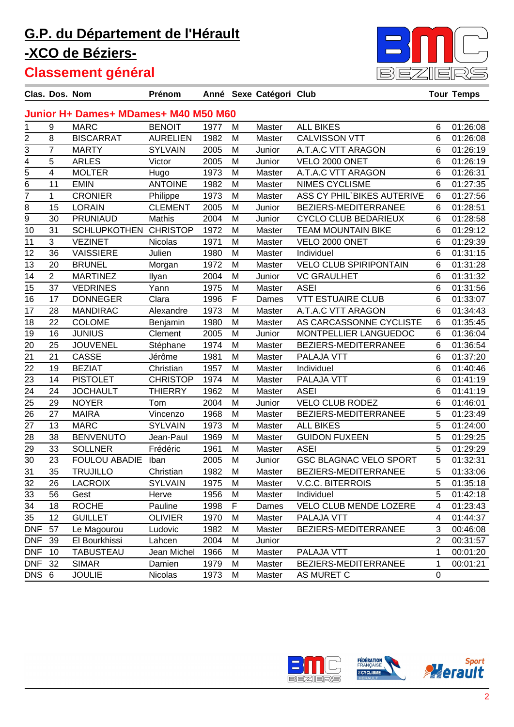

|                 | Clas. Dos. Nom          |                                      | Prénom          |      |             | Anné Sexe Catégori Club |                               |                | <b>Tour Temps</b> |
|-----------------|-------------------------|--------------------------------------|-----------------|------|-------------|-------------------------|-------------------------------|----------------|-------------------|
|                 |                         | Junior H+ Dames+ MDames+ M40 M50 M60 |                 |      |             |                         |                               |                |                   |
| 1               | 9                       | <b>MARC</b>                          | <b>BENOIT</b>   | 1977 | M           | Master                  | <b>ALL BIKES</b>              | 6              | 01:26:08          |
| 2               | 8                       | <b>BISCARRAT</b>                     | <b>AURELIEN</b> | 1982 | M           | Master                  | <b>CALVISSON VTT</b>          | 6              | 01:26:08          |
| 3               | $\overline{7}$          | <b>MARTY</b>                         | <b>SYLVAIN</b>  | 2005 | M           | Junior                  | A.T.A.C VTT ARAGON            | 6              | 01:26:19          |
|                 | $\overline{5}$          | <b>ARLES</b>                         | Victor          | 2005 | M           | Junior                  | VELO 2000 ONET                | 6              | 01:26:19          |
| $\frac{4}{5}$   | $\overline{\mathbf{4}}$ | <b>MOLTER</b>                        | Hugo            | 1973 | M           | Master                  | A.T.A.C VTT ARAGON            | 6              | 01:26:31          |
| $\overline{6}$  | 11                      | <b>EMIN</b>                          | <b>ANTOINE</b>  | 1982 | M           | Master                  | <b>NIMES CYCLISME</b>         | 6              | 01:27:35          |
| 7               | $\mathbf{1}$            | <b>CRONIER</b>                       | Philippe        | 1973 | M           | Master                  | ASS CY PHIL'BIKES AUTERIVE    | 6              | 01:27:56          |
| 8               | 15                      | <b>LORAIN</b>                        | <b>CLEMENT</b>  | 2005 | M           | Junior                  | BEZIERS-MEDITERRANEE          | 6              | 01:28:51          |
| 9               | 30                      | <b>PRUNIAUD</b>                      | Mathis          | 2004 | M           | Junior                  | <b>CYCLO CLUB BEDARIEUX</b>   | 6              | 01:28:58          |
| 10              | 31                      | <b>SCHLUPKOTHEN</b>                  | <b>CHRISTOP</b> | 1972 | M           | Master                  | <b>TEAM MOUNTAIN BIKE</b>     | 6              | 01:29:12          |
| 11              | 3                       | <b>VEZINET</b>                       | <b>Nicolas</b>  | 1971 | M           | Master                  | VELO 2000 ONET                | 6              | 01:29:39          |
| 12              | 36                      | <b>VAISSIERE</b>                     | Julien          | 1980 | M           | Master                  | Individuel                    | 6              | 01:31:15          |
| 13              | 20                      | <b>BRUNEL</b>                        | Morgan          | 1972 | M           | Master                  | <b>VELO CLUB SPIRIPONTAIN</b> | 6              | 01:31:28          |
| 14              | $\overline{2}$          | <b>MARTINEZ</b>                      | Ilyan           | 2004 | M           | Junior                  | <b>VC GRAULHET</b>            | 6              | 01:31:32          |
| 15              | 37                      | <b>VEDRINES</b>                      | Yann            | 1975 | M           | Master                  | <b>ASEI</b>                   | 6              | 01:31:56          |
| 16              | 17                      | <b>DONNEGER</b>                      | Clara           | 1996 | $\mathsf F$ | Dames                   | <b>VTT ESTUAIRE CLUB</b>      | 6              | 01:33:07          |
| 17              | 28                      | <b>MANDIRAC</b>                      | Alexandre       | 1973 | M           | Master                  | A.T.A.C VTT ARAGON            | 6              | 01:34:43          |
| 18              | 22                      | <b>COLOME</b>                        | Benjamin        | 1980 | M           | Master                  | AS CARCASSONNE CYCLISTE       | 6              | 01:35:45          |
| 19              | 16                      | <b>JUNIUS</b>                        | Clement         | 2005 | M           | Junior                  | MONTPELLIER LANGUEDOC         | 6              | 01:36:04          |
| 20              | 25                      | <b>JOUVENEL</b>                      | Stéphane        | 1974 | M           | Master                  | BEZIERS-MEDITERRANEE          | 6              | 01:36:54          |
| $\overline{21}$ | 21                      | <b>CASSE</b>                         | Jérôme          | 1981 | M           | Master                  | PALAJA VTT                    | 6              | 01:37:20          |
| 22              | 19                      | <b>BEZIAT</b>                        | Christian       | 1957 | M           | Master                  | Individuel                    | 6              | 01:40:46          |
| 23              | 14                      | <b>PISTOLET</b>                      | <b>CHRISTOP</b> | 1974 | M           | Master                  | PALAJA VTT                    | 6              | 01:41:19          |
| 24              | 24                      | <b>JOCHAULT</b>                      | <b>THIERRY</b>  | 1962 | M           | Master                  | <b>ASEI</b>                   | 6              | 01:41:19          |
| 25              | 29                      | <b>NOYER</b>                         | Tom             | 2004 | M           | Junior                  | <b>VELO CLUB RODEZ</b>        | 6              | 01:46:01          |
| 26              | 27                      | <b>MAIRA</b>                         | Vincenzo        | 1968 | M           | Master                  | BEZIERS-MEDITERRANEE          | 5              | 01:23:49          |
| 27              | 13                      | <b>MARC</b>                          | <b>SYLVAIN</b>  | 1973 | M           | Master                  | <b>ALL BIKES</b>              | 5              | 01:24:00          |
| 28              | 38                      | <b>BENVENUTO</b>                     | Jean-Paul       | 1969 | M           | Master                  | <b>GUIDON FUXEEN</b>          | 5              | 01:29:25          |
| 29              | 33                      | <b>SOLLNER</b>                       | Frédéric        | 1961 | M           | Master                  | <b>ASEI</b>                   | 5              | 01:29:29          |
| $\overline{30}$ | 23                      | <b>FOULOU ABADIE</b>                 | Iban            | 2005 | M           | Junior                  | <b>GSC BLAGNAC VELO SPORT</b> | $\overline{5}$ | 01:32:31          |
| 31              | 35                      | <b>TRUJILLO</b>                      | Christian       | 1982 | M           | Master                  | BEZIERS-MEDITERRANEE          | 5              | 01:33:06          |
| 32              | 26                      | <b>LACROIX</b>                       | <b>SYLVAIN</b>  | 1975 | M           | Master                  | <b>V.C.C. BITERROIS</b>       | 5              | 01:35:18          |
| 33              | 56                      | Gest                                 | Herve           | 1956 | M           | Master                  | Individuel                    | 5              | 01:42:18          |
| 34              | 18                      | <b>ROCHE</b>                         | Pauline         | 1998 | F           | Dames                   | VELO CLUB MENDE LOZERE        | 4              | 01:23:43          |
| 35              | 12                      | <b>GUILLET</b>                       | <b>OLIVIER</b>  | 1970 | M           | Master                  | PALAJA VTT                    | 4              | 01:44:37          |
| <b>DNF</b>      | 57                      | Le Magourou                          | Ludovic         | 1982 | M           | Master                  | BEZIERS-MEDITERRANEE          | 3              | 00:46:08          |
| <b>DNF</b>      | 39                      | El Bourkhissi                        | Lahcen          | 2004 | M           | Junior                  |                               | $\overline{2}$ | 00:31:57          |
| <b>DNF</b>      | 10                      | <b>TABUSTEAU</b>                     | Jean Michel     | 1966 | M           | Master                  | PALAJA VTT                    | 1              | 00:01:20          |
| <b>DNF</b>      | 32                      | <b>SIMAR</b>                         | Damien          | 1979 | M           | Master                  | BEZIERS-MEDITERRANEE          | 1              | 00:01:21          |
| DNS 6           |                         | <b>JOULIE</b>                        | Nicolas         | 1973 | M           | Master                  | AS MURET C                    | 0              |                   |

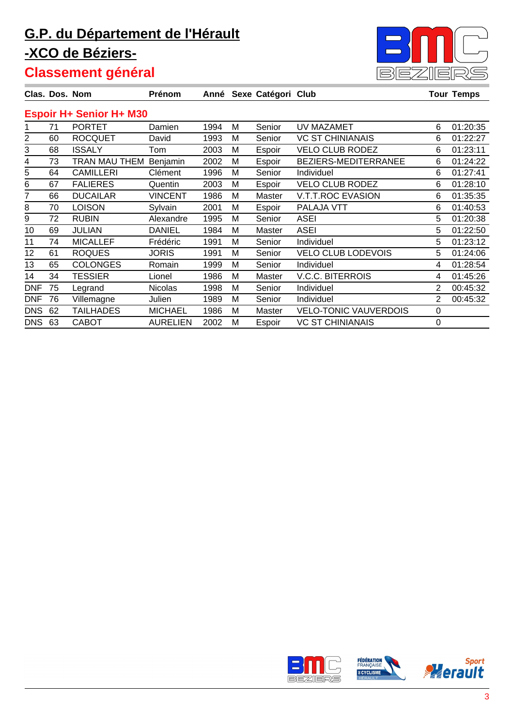

| Clas. Dos. Nom |    |                                | Prénom          |      |   | Anné Sexe Catégori Club |                              |   | <b>Tour Temps</b> |
|----------------|----|--------------------------------|-----------------|------|---|-------------------------|------------------------------|---|-------------------|
|                |    | <b>Espoir H+ Senior H+ M30</b> |                 |      |   |                         |                              |   |                   |
|                | 71 | <b>PORTET</b>                  | Damien          | 1994 | м | Senior                  | UV MAZAMET                   | 6 | 01:20:35          |
| 2              | 60 | <b>ROCQUET</b>                 | David           | 1993 | M | Senior                  | <b>VC ST CHINIANAIS</b>      | 6 | 01:22:27          |
| 3              | 68 | <b>ISSALY</b>                  | Tom             | 2003 | M | Espoir                  | <b>VELO CLUB RODEZ</b>       | 6 | 01:23:11          |
| 4              | 73 | TRAN MAU THEM                  | Benjamin        | 2002 | M | Espoir                  | BEZIERS-MEDITERRANEE         | 6 | 01:24:22          |
| 5              | 64 | <b>CAMILLERI</b>               | Clément         | 1996 | М | Senior                  | Individuel                   | 6 | 01:27:41          |
| 6              | 67 | <b>FALIERES</b>                | Quentin         | 2003 | M | Espoir                  | <b>VELO CLUB RODEZ</b>       | 6 | 01:28:10          |
| 7              | 66 | <b>DUCAILAR</b>                | <b>VINCENT</b>  | 1986 | M | Master                  | V.T.T.ROC EVASION            | 6 | 01:35:35          |
| 8              | 70 | <b>LOISON</b>                  | Sylvain         | 2001 | M | Espoir                  | PALAJA VTT                   | 6 | 01:40:53          |
| 9              | 72 | <b>RUBIN</b>                   | Alexandre       | 1995 | M | Senior                  | <b>ASEI</b>                  | 5 | 01:20:38          |
| 10             | 69 | <b>JULIAN</b>                  | DANIEL          | 1984 | M | Master                  | <b>ASEI</b>                  | 5 | 01:22:50          |
| 11             | 74 | <b>MICALLEF</b>                | Frédéric        | 1991 | м | Senior                  | Individuel                   | 5 | 01:23:12          |
| 12             | 61 | <b>ROQUES</b>                  | <b>JORIS</b>    | 1991 | М | Senior                  | <b>VELO CLUB LODEVOIS</b>    | 5 | 01:24:06          |
| 13             | 65 | <b>COLONGES</b>                | Romain          | 1999 | M | Senior                  | Individuel                   | 4 | 01:28:54          |
| 14             | 34 | <b>TESSIER</b>                 | Lionel          | 1986 | м | Master                  | <b>V.C.C. BITERROIS</b>      | 4 | 01:45:26          |
| <b>DNF</b>     | 75 | Legrand                        | <b>Nicolas</b>  | 1998 | M | Senior                  | Individuel                   | 2 | 00:45:32          |
| <b>DNF</b>     | 76 | Villemagne                     | Julien          | 1989 | M | Senior                  | Individuel                   | 2 | 00:45:32          |
| <b>DNS</b>     | 62 | <b>TAILHADES</b>               | <b>MICHAEL</b>  | 1986 | M | Master                  | <b>VELO-TONIC VAUVERDOIS</b> | 0 |                   |
| <b>DNS</b>     | 63 | <b>CABOT</b>                   | <b>AURELIEN</b> | 2002 | M | Espoir                  | <b>VC ST CHINIANAIS</b>      | 0 |                   |

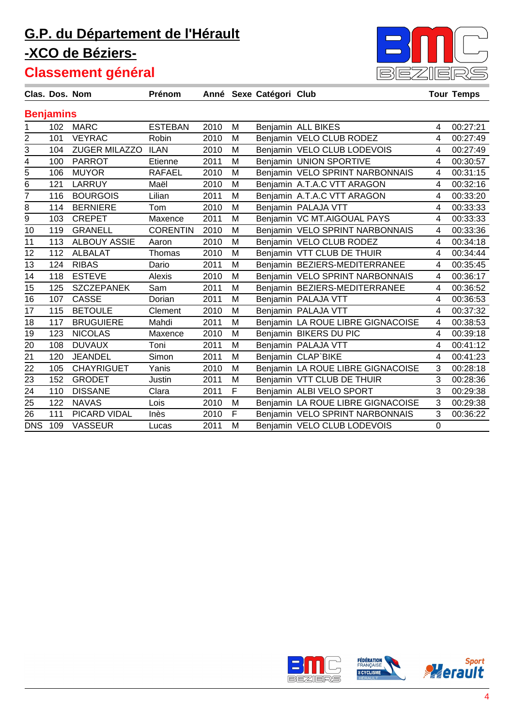

|                |                  | Clas. Dos. Nom       | Prénom          |      |   | Anné Sexe Catégori Club |                                   |             | <b>Tour Temps</b> |
|----------------|------------------|----------------------|-----------------|------|---|-------------------------|-----------------------------------|-------------|-------------------|
|                | <b>Benjamins</b> |                      |                 |      |   |                         |                                   |             |                   |
| 1              | 102              | <b>MARC</b>          | <b>ESTEBAN</b>  | 2010 | M |                         | Benjamin ALL BIKES                | 4           | 00:27:21          |
| 2              | 101              | <b>VEYRAC</b>        | Robin           | 2010 | M |                         | Benjamin VELO CLUB RODEZ          | 4           | 00:27:49          |
| 3              | 104              | <b>ZUGER MILAZZO</b> | <b>ILAN</b>     | 2010 | M |                         | Benjamin VELO CLUB LODEVOIS       | 4           | 00:27:49          |
| 4              | 100              | <b>PARROT</b>        | Etienne         | 2011 | M |                         | Benjamin UNION SPORTIVE           | 4           | 00:30:57          |
| 5              | 106              | <b>MUYOR</b>         | <b>RAFAEL</b>   | 2010 | M |                         | Benjamin VELO SPRINT NARBONNAIS   | 4           | 00:31:15          |
| 6              | 121              | LARRUY               | Maël            | 2010 | M |                         | Benjamin A.T.A.C VTT ARAGON       | 4           | 00:32:16          |
| $\overline{7}$ | 116              | <b>BOURGOIS</b>      | Lilian          | 2011 | M |                         | Benjamin A.T.A.C VTT ARAGON       | 4           | 00:33:20          |
| 8              | 114              | <b>BERNIERE</b>      | Tom             | 2010 | M |                         | Benjamin PALAJA VTT               | 4           | 00:33:33          |
| $\overline{9}$ | 103              | <b>CREPET</b>        | Maxence         | 2011 | M |                         | Benjamin VC MT.AIGOUAL PAYS       | 4           | 00:33:33          |
| 10             | 119              | <b>GRANELL</b>       | <b>CORENTIN</b> | 2010 | M |                         | Benjamin VELO SPRINT NARBONNAIS   | 4           | 00:33:36          |
| 11             | 113              | <b>ALBOUY ASSIE</b>  | Aaron           | 2010 | M |                         | Benjamin VELO CLUB RODEZ          | 4           | 00:34:18          |
| 12             | 112              | <b>ALBALAT</b>       | Thomas          | 2010 | M |                         | Benjamin VTT CLUB DE THUIR        | 4           | 00:34:44          |
| 13             | 124              | <b>RIBAS</b>         | Dario           | 2011 | M |                         | Benjamin BEZIERS-MEDITERRANEE     | 4           | 00:35:45          |
| 14             | 118              | <b>ESTEVE</b>        | Alexis          | 2010 | M |                         | Benjamin VELO SPRINT NARBONNAIS   | 4           | 00:36:17          |
| 15             | 125              | <b>SZCZEPANEK</b>    | Sam             | 2011 | M |                         | Benjamin BEZIERS-MEDITERRANEE     | 4           | 00:36:52          |
| 16             | 107              | <b>CASSE</b>         | Dorian          | 2011 | M |                         | Benjamin PALAJA VTT               | 4           | 00:36:53          |
| 17             | 115              | <b>BETOULE</b>       | Clement         | 2010 | М |                         | Benjamin PALAJA VTT               | 4           | 00:37:32          |
| 18             | 117              | <b>BRUGUIERE</b>     | Mahdi           | 2011 | M |                         | Benjamin LA ROUE LIBRE GIGNACOISE | 4           | 00:38:53          |
| 19             | 123              | <b>NICOLAS</b>       | Maxence         | 2010 | M |                         | Benjamin BIKERS DU PIC            | 4           | 00:39:18          |
| 20             | 108              | <b>DUVAUX</b>        | Toni            | 2011 | M |                         | Benjamin PALAJA VTT               | 4           | 00:41:12          |
| 21             | 120              | <b>JEANDEL</b>       | Simon           | 2011 | M |                         | Benjamin CLAP`BIKE                | 4           | 00:41:23          |
| 22             | 105              | <b>CHAYRIGUET</b>    | Yanis           | 2010 | M |                         | Benjamin LA ROUE LIBRE GIGNACOISE | 3           | 00:28:18          |
| 23             | 152              | <b>GRODET</b>        | Justin          | 2011 | M |                         | Benjamin VTT CLUB DE THUIR        | 3           | 00:28:36          |
| 24             | 110              | <b>DISSANE</b>       | Clara           | 2011 | F |                         | Benjamin ALBI VELO SPORT          | 3           | 00:29:38          |
| 25             | 122              | <b>NAVAS</b>         | Lois            | 2010 | M |                         | Benjamin LA ROUE LIBRE GIGNACOISE | 3           | 00:29:38          |
| 26             | 111              | PICARD VIDAL         | Inès            | 2010 | F |                         | Benjamin VELO SPRINT NARBONNAIS   | 3           | 00:36:22          |
| <b>DNS</b>     | 109              | <b>VASSEUR</b>       | Lucas           | 2011 | M |                         | Benjamin VELO CLUB LODEVOIS       | $\mathbf 0$ |                   |

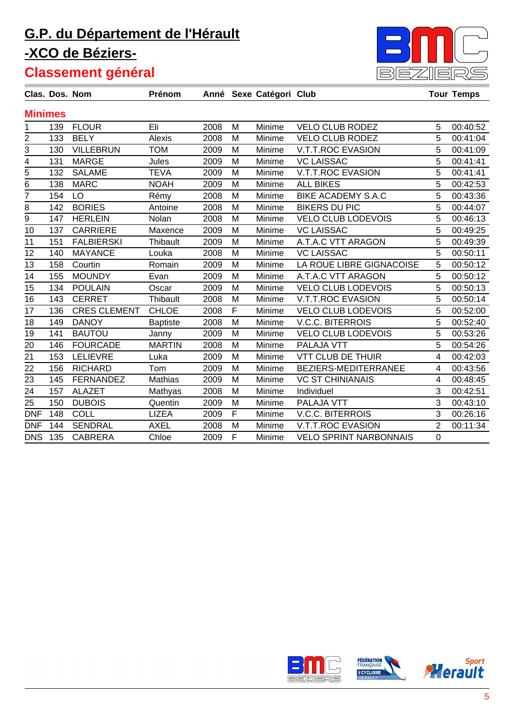

|                | Clas. Dos. Nom |                     | Prénom          |      |              | Anné Sexe Catégori Club |                               |                | <b>Tour Temps</b> |
|----------------|----------------|---------------------|-----------------|------|--------------|-------------------------|-------------------------------|----------------|-------------------|
| <b>Minimes</b> |                |                     |                 |      |              |                         |                               |                |                   |
| 1              | 139            | <b>FLOUR</b>        | Eli             | 2008 | M            | Minime                  | <b>VELO CLUB RODEZ</b>        | 5              | 00:40:52          |
| $\overline{2}$ | 133            | <b>BELY</b>         | Alexis          | 2008 | M            | Minime                  | <b>VELO CLUB RODEZ</b>        | 5              | 00:41:04          |
| 3              | 130            | <b>VILLEBRUN</b>    | <b>TOM</b>      | 2009 | M            | Minime                  | <b>V.T.T.ROC EVASION</b>      | 5              | 00:41:09          |
| $\overline{4}$ | 131            | <b>MARGE</b>        | Jules           | 2009 | M            | Minime                  | <b>VC LAISSAC</b>             | 5              | 00:41:41          |
| $\overline{5}$ | 132            | <b>SALAME</b>       | <b>TEVA</b>     | 2009 | M            | Minime                  | V.T.T.ROC EVASION             | 5              | 00:41:41          |
| $\overline{6}$ | 138            | <b>MARC</b>         | <b>NOAH</b>     | 2009 | M            | Minime                  | <b>ALL BIKES</b>              | 5              | 00:42:53          |
| $\overline{7}$ | 154            | LO                  | Rémy            | 2008 | M            | Minime                  | <b>BIKE ACADEMY S.A.C</b>     | 5              | 00:43:36          |
| 8              | 142            | <b>BORIES</b>       | Antoine         | 2008 | M            | Minime                  | <b>BIKERS DU PIC</b>          | 5              | 00:44:07          |
| $\overline{9}$ | 147            | <b>HERLEIN</b>      | Nolan           | 2008 | M            | Minime                  | <b>VELO CLUB LODEVOIS</b>     | 5              | 00:46:13          |
| 10             | 137            | <b>CARRIERE</b>     | Maxence         | 2009 | M            | Minime                  | <b>VC LAISSAC</b>             | 5              | 00:49:25          |
| 11             | 151            | <b>FALBIERSKI</b>   | Thibault        | 2009 | M            | Minime                  | A.T.A.C VTT ARAGON            | 5              | 00:49:39          |
| 12             | 140            | <b>MAYANCE</b>      | Louka           | 2008 | M            | Minime                  | <b>VC LAISSAC</b>             | 5              | 00:50:11          |
| 13             | 158            | Courtin             | Romain          | 2009 | M            | Minime                  | LA ROUE LIBRE GIGNACOISE      | 5              | 00:50:12          |
| 14             | 155            | <b>MOUNDY</b>       | Evan            | 2009 | M            | Minime                  | A.T.A.C VTT ARAGON            | 5              | 00:50:12          |
| 15             | 134            | <b>POULAIN</b>      | Oscar           | 2009 | M            | Minime                  | <b>VELO CLUB LODEVOIS</b>     | 5              | 00:50:13          |
| 16             | 143            | <b>CERRET</b>       | Thibault        | 2008 | M            | Minime                  | V.T.T.ROC EVASION             | 5              | 00:50:14          |
| 17             | 136            | <b>CRES CLEMENT</b> | <b>CHLOE</b>    | 2008 | $\mathsf{F}$ | Minime                  | <b>VELO CLUB LODEVOIS</b>     | 5              | 00:52:00          |
| 18             | 149            | <b>DANOY</b>        | <b>Baptiste</b> | 2008 | M            | Minime                  | <b>V.C.C. BITERROIS</b>       | 5              | 00:52:40          |
| 19             | 141            | <b>BAUTOU</b>       | Janny           | 2009 | M            | Minime                  | <b>VELO CLUB LODEVOIS</b>     | 5              | 00:53:26          |
| 20             | 146            | <b>FOURCADE</b>     | <b>MARTIN</b>   | 2008 | M            | Minime                  | PALAJA VTT                    | 5              | 00:54:26          |
| 21             | 153            | <b>LELIEVRE</b>     | Luka            | 2009 | M            | Minime                  | <b>VTT CLUB DE THUIR</b>      | 4              | 00:42:03          |
| 22             | 156            | <b>RICHARD</b>      | Tom             | 2009 | M            | Minime                  | BEZIERS-MEDITERRANEE          | 4              | 00:43:56          |
| 23             | 145            | <b>FERNANDEZ</b>    | Mathias         | 2009 | M            | Minime                  | <b>VC ST CHINIANAIS</b>       | 4              | 00:48:45          |
| 24             | 157            | <b>ALAZET</b>       | Mathyas         | 2008 | M            | Minime                  | Individuel                    | 3              | 00:42:51          |
| 25             | 150            | <b>DUBOIS</b>       | Quentin         | 2009 | M            | Minime                  | PALAJA VTT                    | 3              | 00:43:10          |
| <b>DNF</b>     | 148            | <b>COLL</b>         | <b>LIZEA</b>    | 2009 | $\mathsf{F}$ | Minime                  | <b>V.C.C. BITERROIS</b>       | 3              | 00:26:16          |
| <b>DNF</b>     | 144            | <b>SENDRAL</b>      | <b>AXEL</b>     | 2008 | M            | Minime                  | V.T.T.ROC EVASION             | $\overline{2}$ | 00:11:34          |
| <b>DNS</b>     | 135            | <b>CABRERA</b>      | Chloe           | 2009 | F            | Minime                  | <b>VELO SPRINT NARBONNAIS</b> | $\mathbf 0$    |                   |

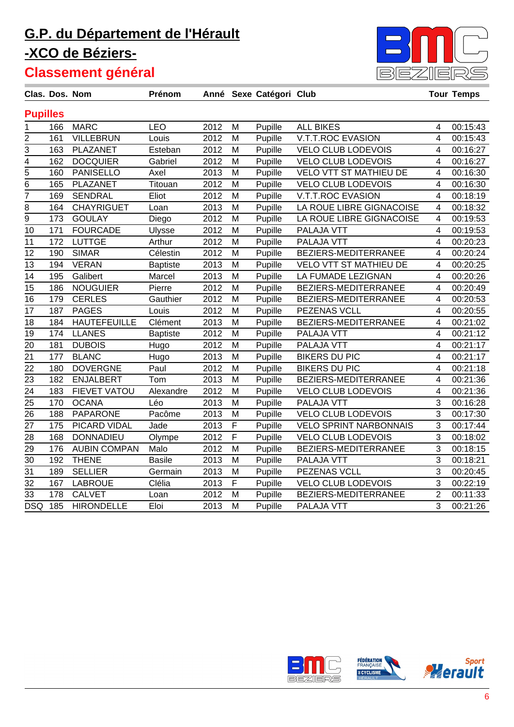

|                 | Clas. Dos. Nom |                     | Prénom          |      |             | Anné Sexe Catégori Club |                               |                         | <b>Tour Temps</b> |
|-----------------|----------------|---------------------|-----------------|------|-------------|-------------------------|-------------------------------|-------------------------|-------------------|
| <b>Pupilles</b> |                |                     |                 |      |             |                         |                               |                         |                   |
| 1               | 166            | <b>MARC</b>         | <b>LEO</b>      | 2012 | M           | Pupille                 | <b>ALL BIKES</b>              | $\overline{\mathbf{4}}$ | 00:15:43          |
| 2               | 161            | <b>VILLEBRUN</b>    | Louis           | 2012 | M           | Pupille                 | V.T.T.ROC EVASION             | 4                       | 00:15:43          |
| 3               | 163            | PLAZANET            | Esteban         | 2012 | M           | Pupille                 | <b>VELO CLUB LODEVOIS</b>     | 4                       | 00:16:27          |
| $\overline{4}$  | 162            | <b>DOCQUIER</b>     | Gabriel         | 2012 | M           | Pupille                 | <b>VELO CLUB LODEVOIS</b>     | 4                       | 00:16:27          |
| $\overline{5}$  | 160            | <b>PANISELLO</b>    | Axel            | 2013 | M           | Pupille                 | <b>VELO VTT ST MATHIEU DE</b> | 4                       | 00:16:30          |
| $\overline{6}$  | 165            | PLAZANET            | Titouan         | 2012 | M           | Pupille                 | <b>VELO CLUB LODEVOIS</b>     | 4                       | 00:16:30          |
| $\overline{7}$  | 169            | <b>SENDRAL</b>      | Eliot           | 2012 | M           | Pupille                 | V.T.T.ROC EVASION             | 4                       | 00:18:19          |
| 8               | 164            | <b>CHAYRIGUET</b>   | Loan            | 2013 | M           | Pupille                 | LA ROUE LIBRE GIGNACOISE      | 4                       | 00:18:32          |
| 9               | 173            | <b>GOULAY</b>       | Diego           | 2012 | M           | Pupille                 | LA ROUE LIBRE GIGNACOISE      | 4                       | 00:19:53          |
| 10              | 171            | <b>FOURCADE</b>     | Ulysse          | 2012 | M           | Pupille                 | PALAJA VTT                    | 4                       | 00:19:53          |
| 11              | 172            | <b>LUTTGE</b>       | Arthur          | 2012 | M           | Pupille                 | PALAJA VTT                    | 4                       | 00:20:23          |
| 12              | 190            | <b>SIMAR</b>        | Célestin        | 2012 | M           | Pupille                 | BEZIERS-MEDITERRANEE          | 4                       | 00:20:24          |
| 13              | 194            | <b>VERAN</b>        | <b>Baptiste</b> | 2013 | M           | Pupille                 | <b>VELO VTT ST MATHIEU DE</b> | 4                       | 00:20:25          |
| 14              | 195            | Galibert            | Marcel          | 2013 | M           | Pupille                 | LA FUMADE LEZIGNAN            | 4                       | 00:20:26          |
| 15              | 186            | <b>NOUGUIER</b>     | Pierre          | 2012 | M           | Pupille                 | BEZIERS-MEDITERRANEE          | 4                       | 00:20:49          |
| 16              | 179            | <b>CERLES</b>       | Gauthier        | 2012 | M           | Pupille                 | BEZIERS-MEDITERRANEE          | 4                       | 00:20:53          |
| 17              | 187            | <b>PAGES</b>        | Louis           | 2012 | M           | Pupille                 | PEZENAS VCLL                  | $\overline{4}$          | 00:20:55          |
| 18              | 184            | <b>HAUTEFEUILLE</b> | Clément         | 2013 | M           | Pupille                 | BEZIERS-MEDITERRANEE          | 4                       | 00:21:02          |
| 19              | 174            | <b>LLANES</b>       | <b>Baptiste</b> | 2012 | M           | Pupille                 | PALAJA VTT                    | 4                       | 00:21:12          |
| 20              | 181            | <b>DUBOIS</b>       | Hugo            | 2012 | M           | Pupille                 | PALAJA VTT                    | 4                       | 00:21:17          |
| 21              | 177            | <b>BLANC</b>        | Hugo            | 2013 | M           | Pupille                 | <b>BIKERS DU PIC</b>          | 4                       | 00:21:17          |
| 22              | 180            | <b>DOVERGNE</b>     | Paul            | 2012 | M           | Pupille                 | <b>BIKERS DU PIC</b>          | 4                       | 00:21:18          |
| 23              | 182            | <b>ENJALBERT</b>    | Tom             | 2013 | M           | Pupille                 | BEZIERS-MEDITERRANEE          | 4                       | 00:21:36          |
| 24              | 183            | FIEVET VATOU        | Alexandre       | 2012 | M           | Pupille                 | <b>VELO CLUB LODEVOIS</b>     | 4                       | 00:21:36          |
| 25              | 170            | <b>OCANA</b>        | Léo             | 2013 | M           | Pupille                 | PALAJA VTT                    | 3                       | 00:16:28          |
| 26              | 188            | <b>PAPARONE</b>     | Pacôme          | 2013 | M           | Pupille                 | <b>VELO CLUB LODEVOIS</b>     | 3                       | 00:17:30          |
| 27              | 175            | PICARD VIDAL        | Jade            | 2013 | $\mathsf F$ | Pupille                 | <b>VELO SPRINT NARBONNAIS</b> | 3                       | 00:17:44          |
| 28              | 168            | <b>DONNADIEU</b>    | Olympe          | 2012 | F           | Pupille                 | VELO CLUB LODEVOIS            | 3                       | 00:18:02          |
| 29              | 176            | <b>AUBIN COMPAN</b> | Malo            | 2012 | M           | Pupille                 | BEZIERS-MEDITERRANEE          | 3                       | 00:18:15          |
| 30              | 192            | <b>THENE</b>        | <b>Basile</b>   | 2013 | M           | Pupille                 | PALAJA VTT                    | 3                       | 00:18:21          |
| 31              | 189            | <b>SELLIER</b>      | Germain         | 2013 | M           | Pupille                 | PEZENAS VCLL                  | 3                       | 00:20:45          |
| 32              | 167            | <b>LABROUE</b>      | Clélia          | 2013 | $\mathsf F$ | Pupille                 | <b>VELO CLUB LODEVOIS</b>     | 3                       | 00:22:19          |
| 33              | 178            | <b>CALVET</b>       | Loan            | 2012 | M           | Pupille                 | BEZIERS-MEDITERRANEE          | $\overline{2}$          | 00:11:33          |
| <b>DSQ</b>      | 185            | <b>HIRONDELLE</b>   | Eloi            | 2013 | M           | Pupille                 | PALAJA VTT                    | 3                       | 00:21:26          |

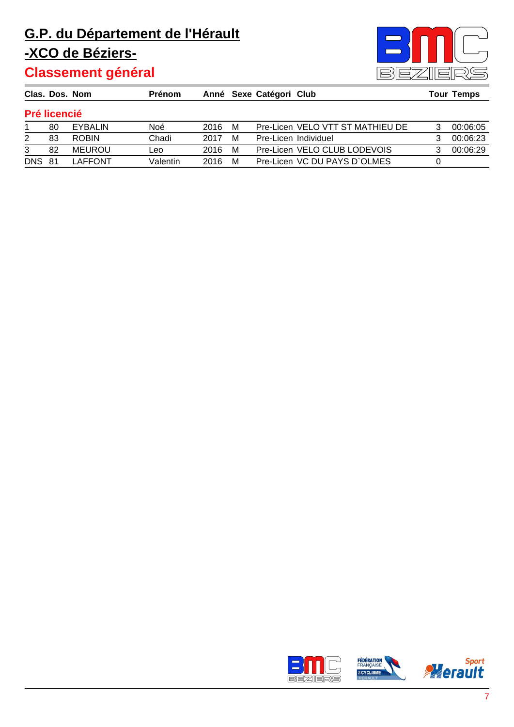

|               | Clas. Dos. Nom      |               | <b>Prénom</b> |      |   | Anné Sexe Catégori Club |                                  | <b>Tour Temps</b> |
|---------------|---------------------|---------------|---------------|------|---|-------------------------|----------------------------------|-------------------|
|               | <b>Pré licencié</b> |               |               |      |   |                         |                                  |                   |
|               | 80                  | EYBALIN       | Noé           | 2016 | M |                         | Pre-Licen VELO VTT ST MATHIEU DE | 00:06:05          |
| 2             | 83                  | <b>ROBIN</b>  | Chadi         | 2017 | M |                         | Pre-Licen Individuel             | 00:06:23          |
| 3             | 82                  | <b>MEUROU</b> | Leo           | 2016 | м |                         | Pre-Licen VELO CLUB LODEVOIS     | 00:06:29          |
| <b>DNS 81</b> |                     | LAFFONT       | Valentin      | 2016 | м |                         | Pre-Licen VC DU PAYS D'OLMES     |                   |